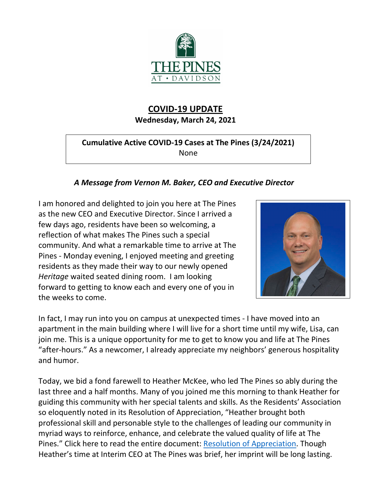

# **COVID-19 UPDATE Wednesday, March 24, 2021**

### **Cumulative Active COVID-19 Cases at The Pines (3/24/2021)** None

## *A Message from Vernon M. Baker, CEO and Executive Director*

I am honored and delighted to join you here at The Pines as the new CEO and Executive Director. Since I arrived a few days ago, residents have been so welcoming, a reflection of what makes The Pines such a special community. And what a remarkable time to arrive at The Pines - Monday evening, I enjoyed meeting and greeting residents as they made their way to our newly opened *Heritage* waited seated dining room. I am looking forward to getting to know each and every one of you in the weeks to come.



In fact, I may run into you on campus at unexpected times - I have moved into an apartment in the main building where I will live for a short time until my wife, Lisa, can join me. This is a unique opportunity for me to get to know you and life at The Pines "after-hours." As a newcomer, I already appreciate my neighbors' generous hospitality and humor.

Today, we bid a fond farewell to Heather McKee, who led The Pines so ably during the last three and a half months. Many of you joined me this morning to thank Heather for guiding this community with her special talents and skills. As the Residents' Association so eloquently noted in its Resolution of Appreciation, "Heather brought both professional skill and personable style to the challenges of leading our community in myriad ways to reinforce, enhance, and celebrate the valued quality of life at The Pines." Click here to read the entire document: [Resolution of Appreciation.](https://www.mycommunity-center.com/filephotos/463/Heather%20McKee%20%20%20%20Resolution_REV031321.pdf) Though Heather's time at Interim CEO at The Pines was brief, her imprint will be long lasting.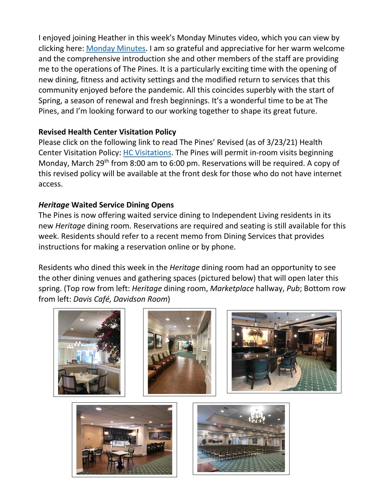I enjoyed joining Heather in this week's Monday Minutes video, which you can view by clicking here: [Monday Minutes.](https://youtu.be/lX-Hl8-Ohm4) I am so grateful and appreciative for her warm welcome and the comprehensive introduction she and other members of the staff are providing me to the operations of The Pines. It is a particularly exciting time with the opening of new dining, fitness and activity settings and the modified return to services that this community enjoyed before the pandemic. All this coincides superbly with the start of Spring, a season of renewal and fresh beginnings. It's a wonderful time to be at The Pines, and I'm looking forward to our working together to shape its great future.

#### **Revised Health Center Visitation Policy**

Please click on the following link to read The Pines' Revised (as of 3/23/21) Health Center Visitation Policy: [HC Visitations.](https://www.mycommunity-center.com/filephotos/463/The%20Pines%20Visitation%20Policies%20rev.%203.23.21.pdf) The Pines will permit in-room visits beginning Monday, March 29<sup>th</sup> from 8:00 am to 6:00 pm. Reservations will be required. A copy of this revised policy will be available at the front desk for those who do not have internet access.

## *Heritage* **Waited Service Dining Opens**

The Pines is now offering waited service dining to Independent Living residents in its new *Heritage* dining room. Reservations are required and seating is still available for this week. Residents should refer to a recent memo from Dining Services that provides instructions for making a reservation online or by phone.

Residents who dined this week in the *Heritage* dining room had an opportunity to see the other dining venues and gathering spaces (pictured below) that will open later this spring. (Top row from left: *Heritage* dining room, *Marketplace* hallway, *Pub*; Bottom row from left: *Davis Café, Davidson Room*)